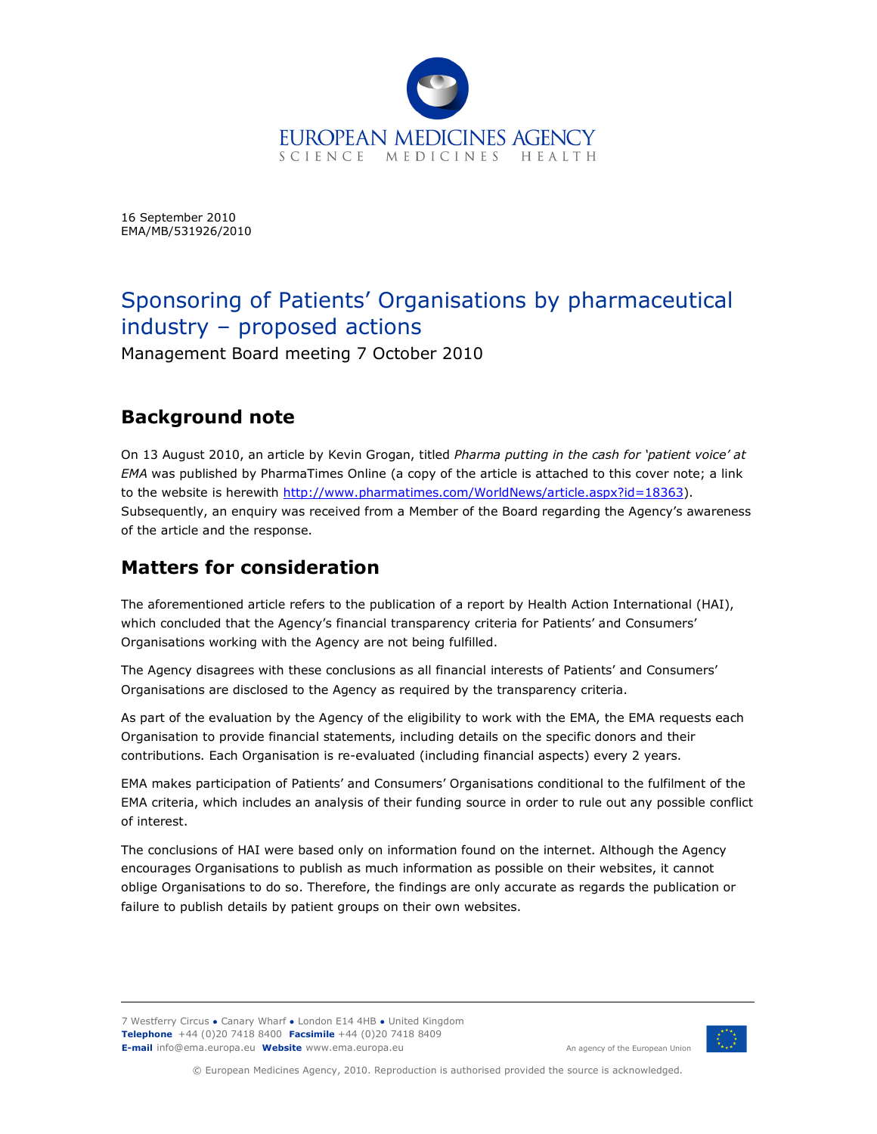

16 September 2010 EMA/MB/531926/2010

# Sponsoring of Patients' Organisations by pharmaceutical industry – proposed actions

Management Board meeting 7 October 2010

## **Background note**

On 13 August 2010, an article by Kevin Grogan, titled *Pharma putting in the cash for 'patient voice' at EMA* was published by PharmaTimes Online (a copy of the article is attached to this cover note; a link to the website is herewith http://www.pharmatimes.com/WorldNews/article.aspx?id=18363). Subsequently, an enquiry was received from a Member of the Board regarding the Agency's awareness of the article and the response.

## **Matters for consideration**

The aforementioned article refers to the publication of a report by Health Action International (HAI), which concluded that the Agency's financial transparency criteria for Patients' and Consumers' Organisations working with the Agency are not being fulfilled.

The Agency disagrees with these conclusions as all financial interests of Patients' and Consumers' Organisations are disclosed to the Agency as required by the transparency criteria.

As part of the evaluation by the Agency of the eligibility to work with the EMA, the EMA requests each Organisation to provide financial statements, including details on the specific donors and their contributions. Each Organisation is re-evaluated (including financial aspects) every 2 years.

EMA makes participation of Patients' and Consumers' Organisations conditional to the fulfilment of the EMA criteria, which includes an analysis of their funding source in order to rule out any possible conflict of interest.

The conclusions of HAI were based only on information found on the internet. Although the Agency encourages Organisations to publish as much information as possible on their websites, it cannot oblige Organisations to do so. Therefore, the findings are only accurate as regards the publication or failure to publish details by patient groups on their own websites.

7 Westferry Circus **●** Canary Wharf **●** London E14 4HB **●** United Kingdom **Telephone** +44 (0)20 7418 8400 **Facsimile** +44 (0)20 7418 8409 **E-mail** info@ema.europa.eu **Website** www.ema.europa.eu An agency of the European Union



© European Medicines Agency, 2010. Reproduction is authorised provided the source is acknowledged.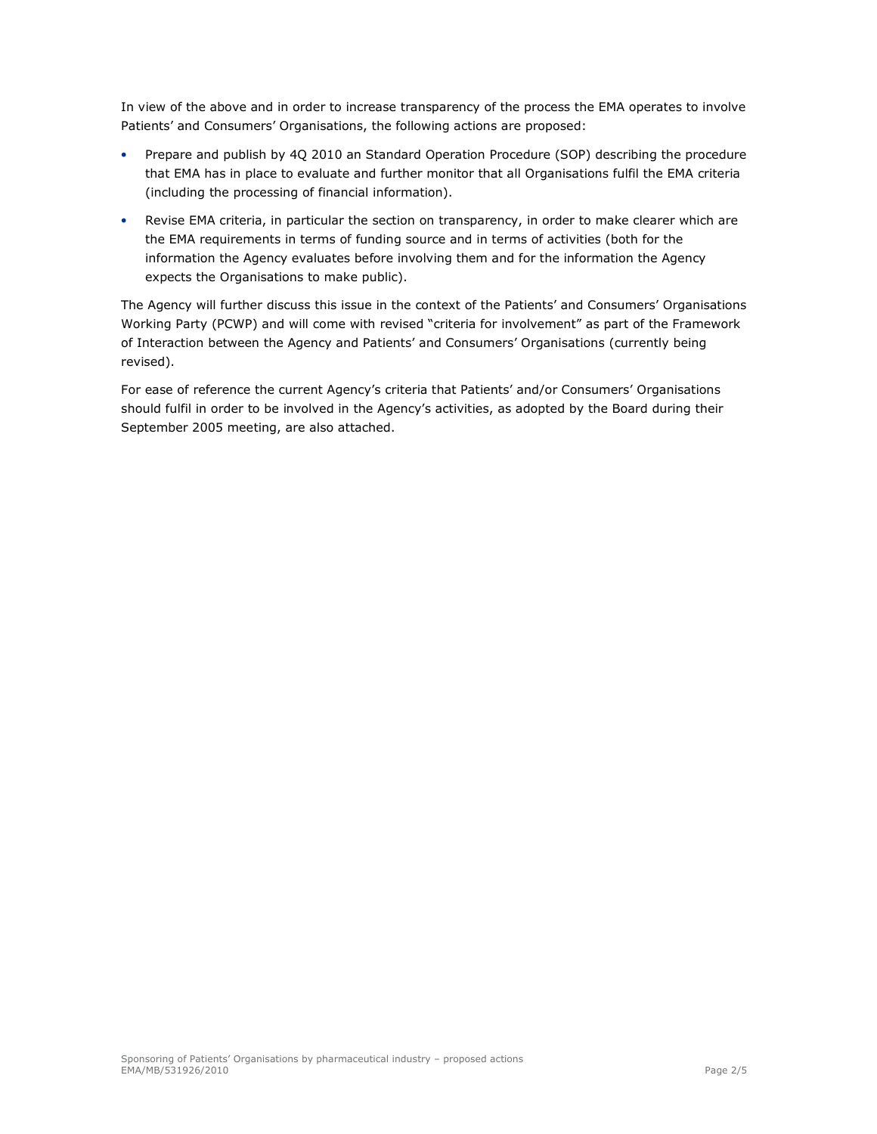In view of the above and in order to increase transparency of the process the EMA operates to involve Patients' and Consumers' Organisations, the following actions are proposed:

- Prepare and publish by 4Q 2010 an Standard Operation Procedure (SOP) describing the procedure that EMA has in place to evaluate and further monitor that all Organisations fulfil the EMA criteria (including the processing of financial information).
- Revise EMA criteria, in particular the section on transparency, in order to make clearer which are the EMA requirements in terms of funding source and in terms of activities (both for the information the Agency evaluates before involving them and for the information the Agency expects the Organisations to make public).

The Agency will further discuss this issue in the context of the Patients' and Consumers' Organisations Working Party (PCWP) and will come with revised "criteria for involvement" as part of the Framework of Interaction between the Agency and Patients' and Consumers' Organisations (currently being revised).

For ease of reference the current Agency's criteria that Patients' and/or Consumers' Organisations should fulfil in order to be involved in the Agency's activities, as adopted by the Board during their September 2005 meeting, are also attached.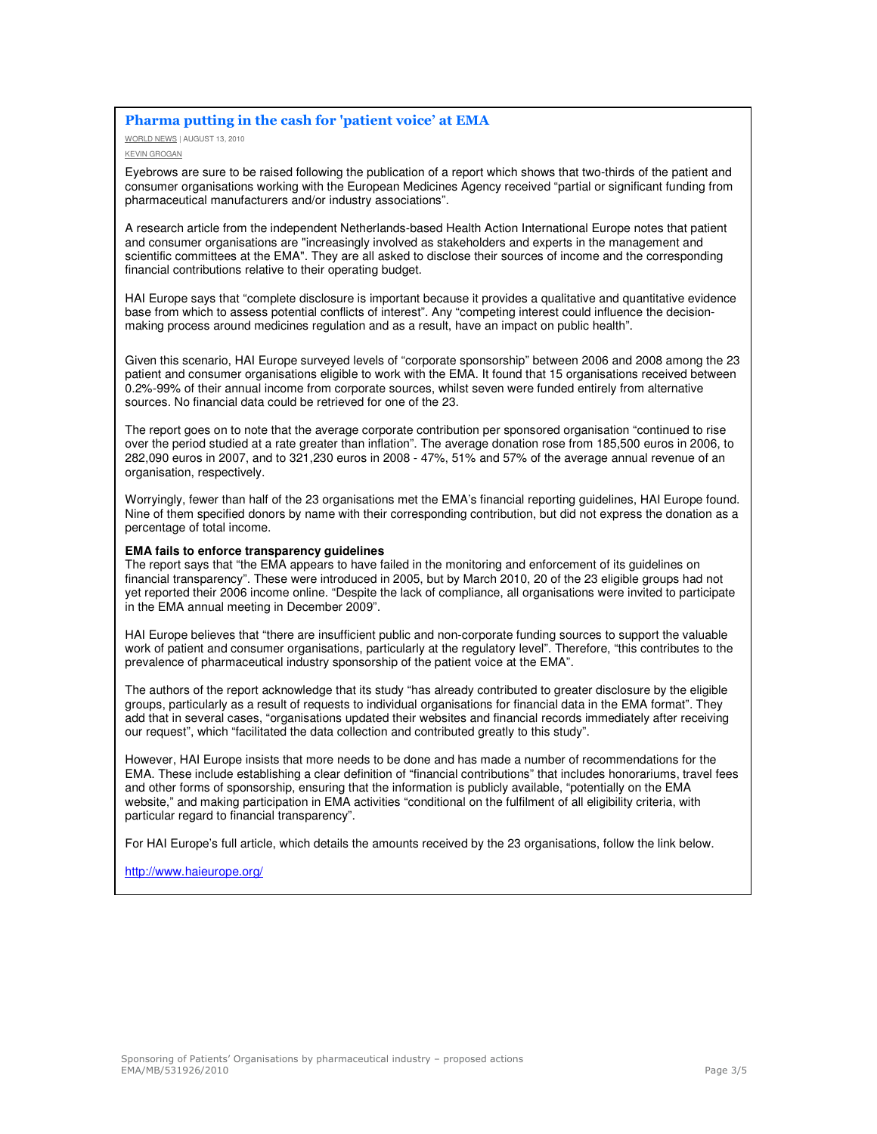#### **Pharma putting in the cash for 'patient voice' at EMA**

WORLD NEWS | AUGUST 13, 2010 KEVIN GROGAN

Eyebrows are sure to be raised following the publication of a report which shows that two-thirds of the patient and consumer organisations working with the European Medicines Agency received "partial or significant funding from pharmaceutical manufacturers and/or industry associations".

A research article from the independent Netherlands-based Health Action International Europe notes that patient and consumer organisations are "increasingly involved as stakeholders and experts in the management and scientific committees at the EMA". They are all asked to disclose their sources of income and the corresponding financial contributions relative to their operating budget.

HAI Europe says that "complete disclosure is important because it provides a qualitative and quantitative evidence base from which to assess potential conflicts of interest". Any "competing interest could influence the decisionmaking process around medicines regulation and as a result, have an impact on public health".

Given this scenario, HAI Europe surveyed levels of "corporate sponsorship" between 2006 and 2008 among the 23 patient and consumer organisations eligible to work with the EMA. It found that 15 organisations received between 0.2%-99% of their annual income from corporate sources, whilst seven were funded entirely from alternative sources. No financial data could be retrieved for one of the 23.

The report goes on to note that the average corporate contribution per sponsored organisation "continued to rise over the period studied at a rate greater than inflation". The average donation rose from 185,500 euros in 2006, to 282,090 euros in 2007, and to 321,230 euros in 2008 - 47%, 51% and 57% of the average annual revenue of an organisation, respectively.

Worryingly, fewer than half of the 23 organisations met the EMA's financial reporting guidelines, HAI Europe found. Nine of them specified donors by name with their corresponding contribution, but did not express the donation as a percentage of total income.

#### **EMA fails to enforce transparency guidelines**

The report says that "the EMA appears to have failed in the monitoring and enforcement of its guidelines on financial transparency". These were introduced in 2005, but by March 2010, 20 of the 23 eligible groups had not yet reported their 2006 income online. "Despite the lack of compliance, all organisations were invited to participate in the EMA annual meeting in December 2009".

HAI Europe believes that "there are insufficient public and non-corporate funding sources to support the valuable work of patient and consumer organisations, particularly at the regulatory level". Therefore, "this contributes to the prevalence of pharmaceutical industry sponsorship of the patient voice at the EMA".

The authors of the report acknowledge that its study "has already contributed to greater disclosure by the eligible groups, particularly as a result of requests to individual organisations for financial data in the EMA format". They add that in several cases, "organisations updated their websites and financial records immediately after receiving our request", which "facilitated the data collection and contributed greatly to this study".

However, HAI Europe insists that more needs to be done and has made a number of recommendations for the EMA. These include establishing a clear definition of "financial contributions" that includes honorariums, travel fees and other forms of sponsorship, ensuring that the information is publicly available, "potentially on the EMA website," and making participation in EMA activities "conditional on the fulfilment of all eligibility criteria, with particular regard to financial transparency".

For HAI Europe's full article, which details the amounts received by the 23 organisations, follow the link below.

http://www.haieurope.org/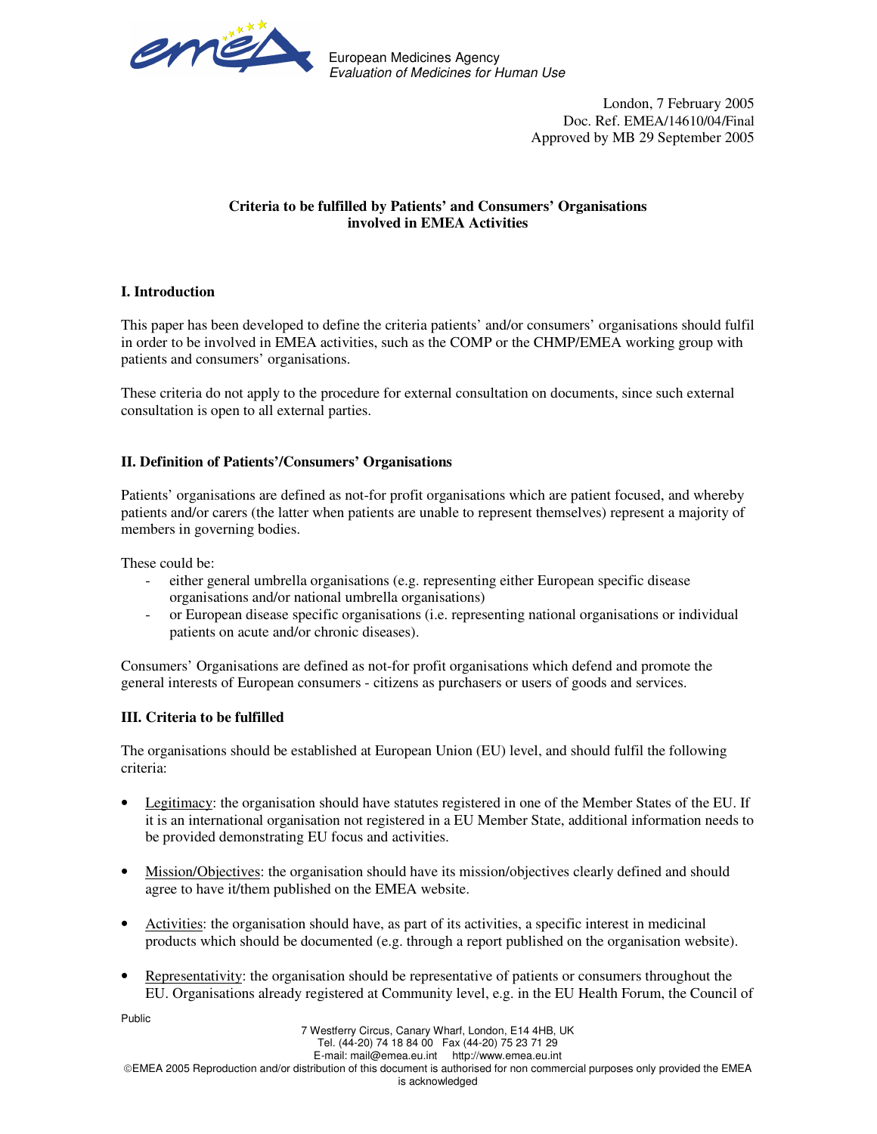

European Medicines Agency Evaluation of Medicines for Human Use

> London, 7 February 2005 Doc. Ref. EMEA/14610/04/Final Approved by MB 29 September 2005

## **Criteria to be fulfilled by Patients' and Consumers' Organisations involved in EMEA Activities**

## **I. Introduction**

This paper has been developed to define the criteria patients' and/or consumers' organisations should fulfil in order to be involved in EMEA activities, such as the COMP or the CHMP/EMEA working group with patients and consumers' organisations.

These criteria do not apply to the procedure for external consultation on documents, since such external consultation is open to all external parties.

## **II. Definition of Patients'/Consumers' Organisations**

Patients' organisations are defined as not-for profit organisations which are patient focused, and whereby patients and/or carers (the latter when patients are unable to represent themselves) represent a majority of members in governing bodies.

These could be:

- either general umbrella organisations (e.g. representing either European specific disease organisations and/or national umbrella organisations)
- or European disease specific organisations (i.e. representing national organisations or individual patients on acute and/or chronic diseases).

Consumers' Organisations are defined as not-for profit organisations which defend and promote the general interests of European consumers - citizens as purchasers or users of goods and services.

### **III. Criteria to be fulfilled**

The organisations should be established at European Union (EU) level, and should fulfil the following criteria:

- Legitimacy: the organisation should have statutes registered in one of the Member States of the EU. If it is an international organisation not registered in a EU Member State, additional information needs to be provided demonstrating EU focus and activities.
- Mission/Objectives: the organisation should have its mission/objectives clearly defined and should agree to have it/them published on the EMEA website.
- Activities: the organisation should have, as part of its activities, a specific interest in medicinal products which should be documented (e.g. through a report published on the organisation website).
- Representativity: the organisation should be representative of patients or consumers throughout the EU. Organisations already registered at Community level, e.g. in the EU Health Forum, the Council of

Public